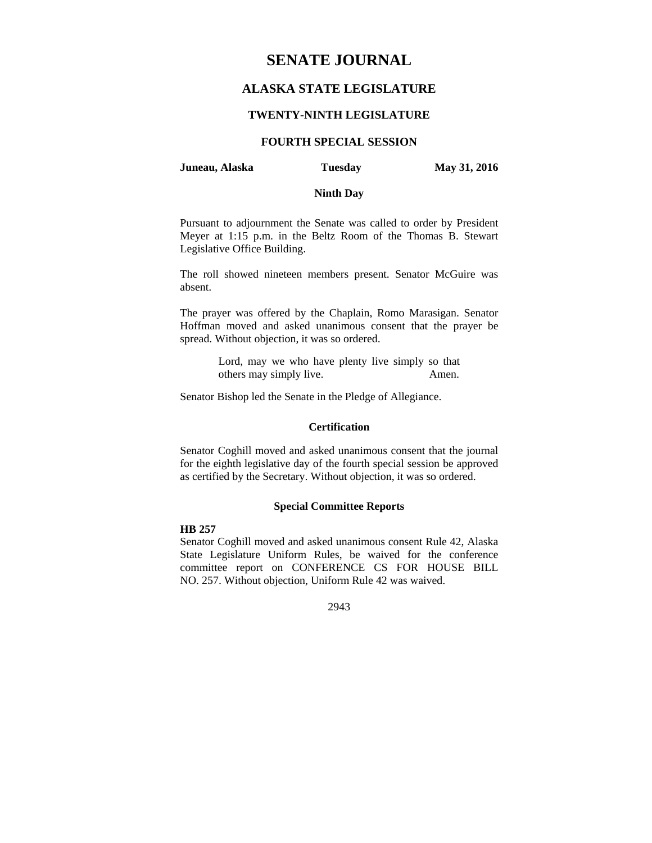# **SENATE JOURNAL**

# **ALASKA STATE LEGISLATURE**

### **TWENTY-NINTH LEGISLATURE**

# **FOURTH SPECIAL SESSION**

#### **Juneau, Alaska Tuesday May 31, 2016**

# **Ninth Day**

Pursuant to adjournment the Senate was called to order by President Meyer at 1:15 p.m. in the Beltz Room of the Thomas B. Stewart Legislative Office Building.

The roll showed nineteen members present. Senator McGuire was absent.

The prayer was offered by the Chaplain, Romo Marasigan. Senator Hoffman moved and asked unanimous consent that the prayer be spread. Without objection, it was so ordered.

> Lord, may we who have plenty live simply so that others may simply live. Amen.

Senator Bishop led the Senate in the Pledge of Allegiance.

# **Certification**

Senator Coghill moved and asked unanimous consent that the journal for the eighth legislative day of the fourth special session be approved as certified by the Secretary. Without objection, it was so ordered.

#### **Special Committee Reports**

## **HB 257**

Senator Coghill moved and asked unanimous consent Rule 42, Alaska State Legislature Uniform Rules, be waived for the conference committee report on CONFERENCE CS FOR HOUSE BILL NO. 257. Without objection, Uniform Rule 42 was waived.

2943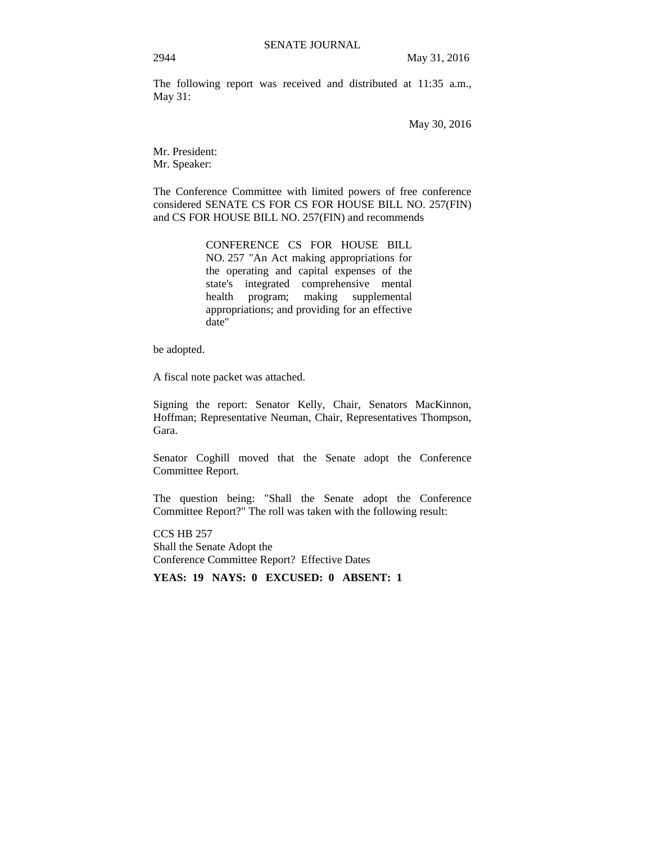The following report was received and distributed at 11:35 a.m., May 31:

May 30, 2016

Mr. President: Mr. Speaker:

The Conference Committee with limited powers of free conference considered SENATE CS FOR CS FOR HOUSE BILL NO. 257(FIN) and CS FOR HOUSE BILL NO. 257(FIN) and recommends

> CONFERENCE CS FOR HOUSE BILL NO. 257 "An Act making appropriations for the operating and capital expenses of the state's integrated comprehensive mental health program; making supplemental appropriations; and providing for an effective date"

be adopted.

A fiscal note packet was attached.

Signing the report: Senator Kelly, Chair, Senators MacKinnon, Hoffman; Representative Neuman, Chair, Representatives Thompson, Gara.

Senator Coghill moved that the Senate adopt the Conference Committee Report.

The question being: "Shall the Senate adopt the Conference Committee Report?" The roll was taken with the following result:

CCS HB 257 Shall the Senate Adopt the Conference Committee Report? Effective Dates

**YEAS: 19 NAYS: 0 EXCUSED: 0 ABSENT: 1**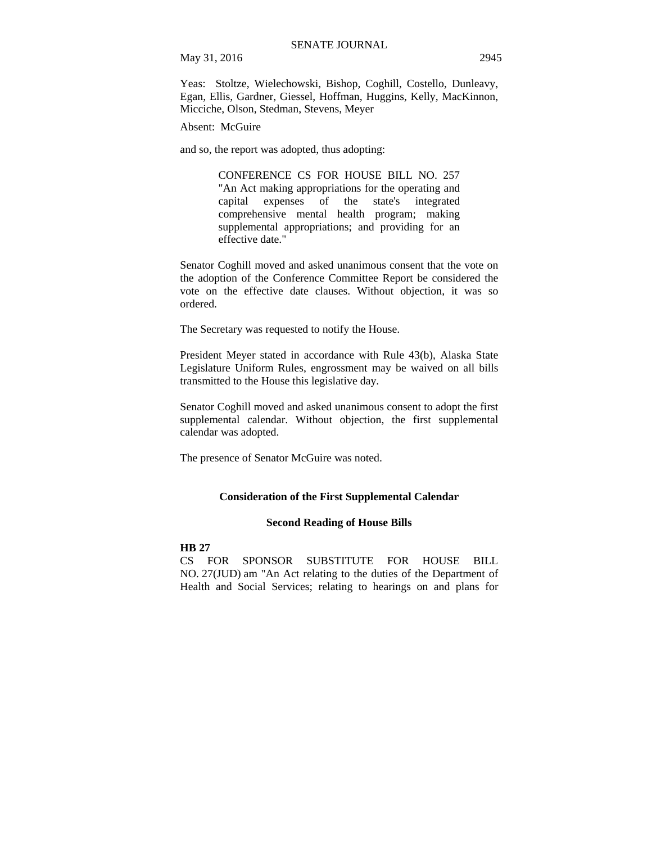May 31, 2016 2945

Yeas: Stoltze, Wielechowski, Bishop, Coghill, Costello, Dunleavy, Egan, Ellis, Gardner, Giessel, Hoffman, Huggins, Kelly, MacKinnon, Micciche, Olson, Stedman, Stevens, Meyer

Absent: McGuire

and so, the report was adopted, thus adopting:

CONFERENCE CS FOR HOUSE BILL NO. 257 "An Act making appropriations for the operating and capital expenses of the state's integrated comprehensive mental health program; making supplemental appropriations; and providing for an effective date."

Senator Coghill moved and asked unanimous consent that the vote on the adoption of the Conference Committee Report be considered the vote on the effective date clauses. Without objection, it was so ordered.

The Secretary was requested to notify the House.

President Meyer stated in accordance with Rule 43(b), Alaska State Legislature Uniform Rules, engrossment may be waived on all bills transmitted to the House this legislative day.

Senator Coghill moved and asked unanimous consent to adopt the first supplemental calendar. Without objection, the first supplemental calendar was adopted.

The presence of Senator McGuire was noted.

### **Consideration of the First Supplemental Calendar**

#### **Second Reading of House Bills**

#### **HB 27**

CS FOR SPONSOR SUBSTITUTE FOR HOUSE BILL NO. 27(JUD) am "An Act relating to the duties of the Department of Health and Social Services; relating to hearings on and plans for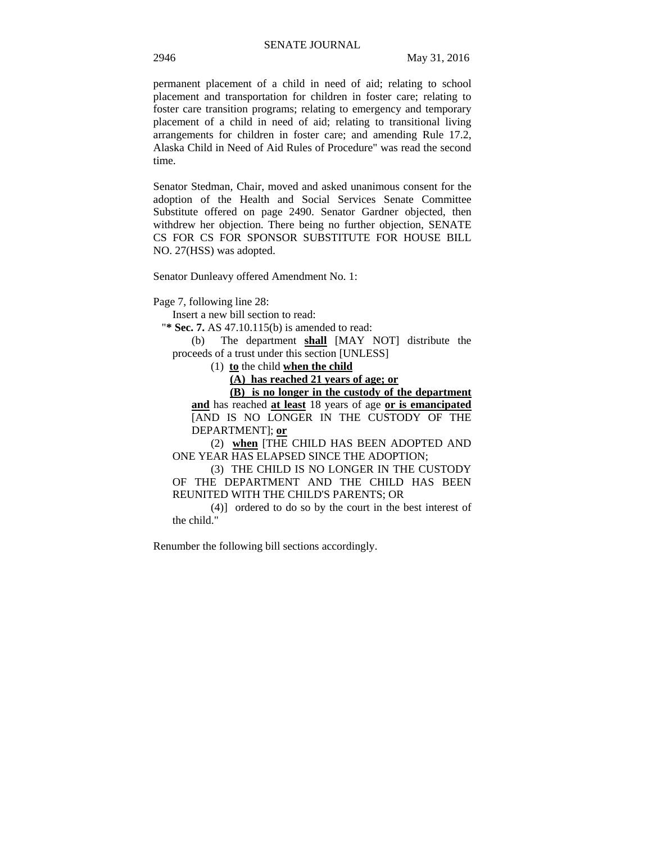permanent placement of a child in need of aid; relating to school placement and transportation for children in foster care; relating to foster care transition programs; relating to emergency and temporary placement of a child in need of aid; relating to transitional living arrangements for children in foster care; and amending Rule 17.2, Alaska Child in Need of Aid Rules of Procedure" was read the second time.

Senator Stedman, Chair, moved and asked unanimous consent for the adoption of the Health and Social Services Senate Committee Substitute offered on page 2490. Senator Gardner objected, then withdrew her objection. There being no further objection, SENATE CS FOR CS FOR SPONSOR SUBSTITUTE FOR HOUSE BILL NO. 27(HSS) was adopted.

Senator Dunleavy offered Amendment No. 1:

Page 7, following line 28:

Insert a new bill section to read:

"**\* Sec. 7.** AS 47.10.115(b) is amended to read:

(b) The department **shall** [MAY NOT] distribute the proceeds of a trust under this section [UNLESS]

(1) **to** the child **when the child**

**(A) has reached 21 years of age; or**

**(B) is no longer in the custody of the department and** has reached **at least** 18 years of age **or is emancipated** [AND IS NO LONGER IN THE CUSTODY OF THE DEPARTMENT]; **or**

(2) **when** [THE CHILD HAS BEEN ADOPTED AND ONE YEAR HAS ELAPSED SINCE THE ADOPTION;

(3) THE CHILD IS NO LONGER IN THE CUSTODY OF THE DEPARTMENT AND THE CHILD HAS BEEN REUNITED WITH THE CHILD'S PARENTS; OR

(4)] ordered to do so by the court in the best interest of the child."

Renumber the following bill sections accordingly.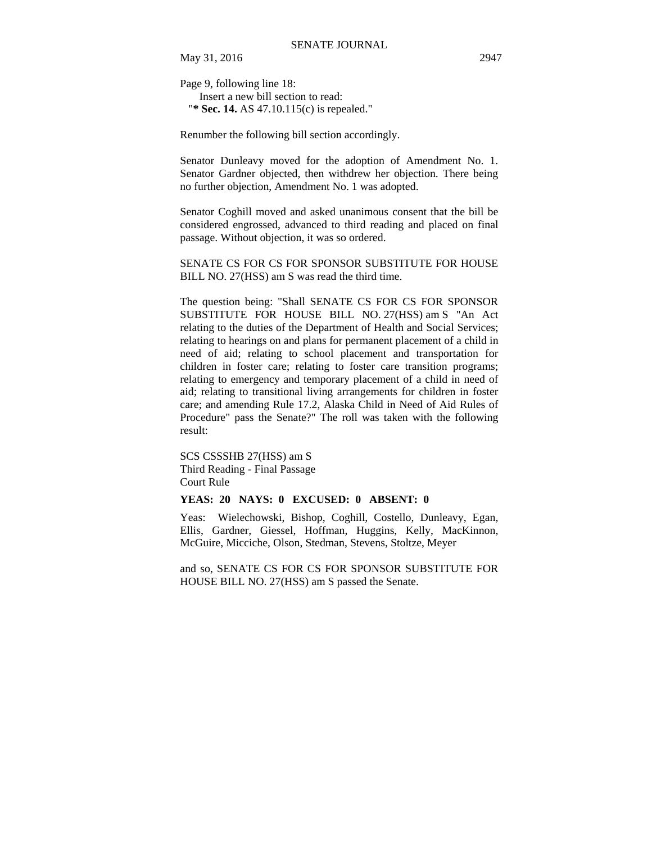Page 9, following line 18:

Insert a new bill section to read: "**\* Sec. 14.** AS 47.10.115(c) is repealed."

Renumber the following bill section accordingly.

Senator Dunleavy moved for the adoption of Amendment No. 1. Senator Gardner objected, then withdrew her objection. There being no further objection, Amendment No. 1 was adopted.

Senator Coghill moved and asked unanimous consent that the bill be considered engrossed, advanced to third reading and placed on final passage. Without objection, it was so ordered.

SENATE CS FOR CS FOR SPONSOR SUBSTITUTE FOR HOUSE BILL NO. 27(HSS) am S was read the third time.

The question being: "Shall SENATE CS FOR CS FOR SPONSOR SUBSTITUTE FOR HOUSE BILL NO. 27(HSS) am S "An Act relating to the duties of the Department of Health and Social Services; relating to hearings on and plans for permanent placement of a child in need of aid; relating to school placement and transportation for children in foster care; relating to foster care transition programs; relating to emergency and temporary placement of a child in need of aid; relating to transitional living arrangements for children in foster care; and amending Rule 17.2, Alaska Child in Need of Aid Rules of Procedure" pass the Senate?" The roll was taken with the following result:

SCS CSSSHB 27(HSS) am S Third Reading - Final Passage Court Rule

#### **YEAS: 20 NAYS: 0 EXCUSED: 0 ABSENT: 0**

Yeas: Wielechowski, Bishop, Coghill, Costello, Dunleavy, Egan, Ellis, Gardner, Giessel, Hoffman, Huggins, Kelly, MacKinnon, McGuire, Micciche, Olson, Stedman, Stevens, Stoltze, Meyer

and so, SENATE CS FOR CS FOR SPONSOR SUBSTITUTE FOR HOUSE BILL NO. 27(HSS) am S passed the Senate.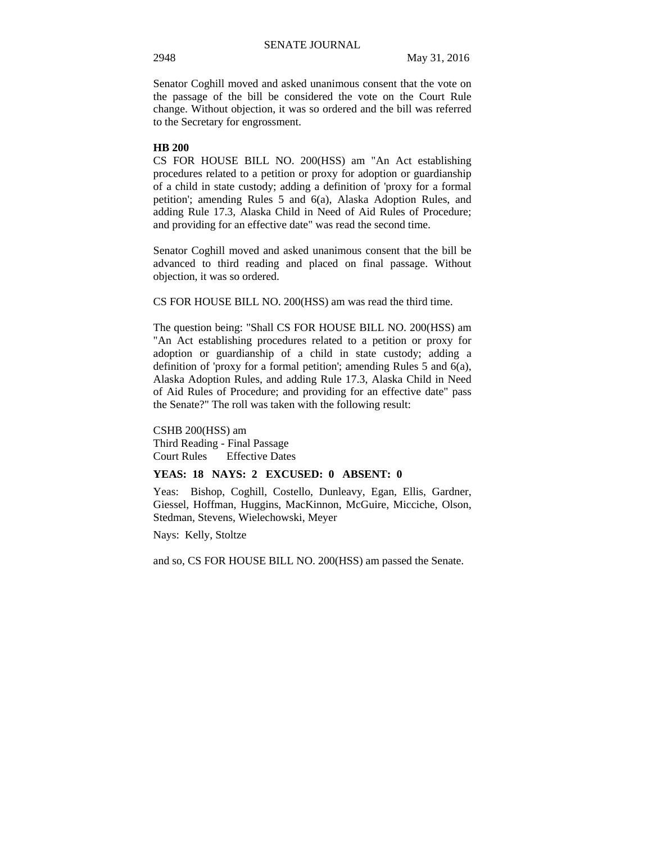Senator Coghill moved and asked unanimous consent that the vote on the passage of the bill be considered the vote on the Court Rule change. Without objection, it was so ordered and the bill was referred to the Secretary for engrossment.

## **HB 200**

CS FOR HOUSE BILL NO. 200(HSS) am "An Act establishing procedures related to a petition or proxy for adoption or guardianship of a child in state custody; adding a definition of 'proxy for a formal petition'; amending Rules 5 and 6(a), Alaska Adoption Rules, and adding Rule 17.3, Alaska Child in Need of Aid Rules of Procedure; and providing for an effective date" was read the second time.

Senator Coghill moved and asked unanimous consent that the bill be advanced to third reading and placed on final passage. Without objection, it was so ordered.

CS FOR HOUSE BILL NO. 200(HSS) am was read the third time.

The question being: "Shall CS FOR HOUSE BILL NO. 200(HSS) am "An Act establishing procedures related to a petition or proxy for adoption or guardianship of a child in state custody; adding a definition of 'proxy for a formal petition'; amending Rules 5 and 6(a), Alaska Adoption Rules, and adding Rule 17.3, Alaska Child in Need of Aid Rules of Procedure; and providing for an effective date" pass the Senate?" The roll was taken with the following result:

CSHB 200(HSS) am Third Reading - Final Passage Court Rules Effective Dates

# **YEAS: 18 NAYS: 2 EXCUSED: 0 ABSENT: 0**

Yeas: Bishop, Coghill, Costello, Dunleavy, Egan, Ellis, Gardner, Giessel, Hoffman, Huggins, MacKinnon, McGuire, Micciche, Olson, Stedman, Stevens, Wielechowski, Meyer

Nays: Kelly, Stoltze

and so, CS FOR HOUSE BILL NO. 200(HSS) am passed the Senate.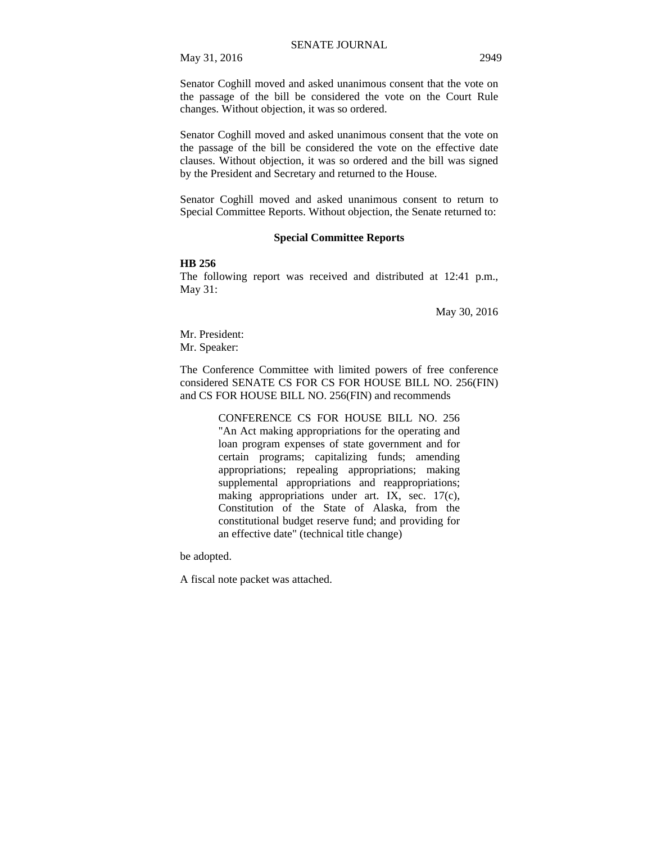Senator Coghill moved and asked unanimous consent that the vote on the passage of the bill be considered the vote on the Court Rule changes. Without objection, it was so ordered.

Senator Coghill moved and asked unanimous consent that the vote on the passage of the bill be considered the vote on the effective date clauses. Without objection, it was so ordered and the bill was signed by the President and Secretary and returned to the House.

Senator Coghill moved and asked unanimous consent to return to Special Committee Reports. Without objection, the Senate returned to:

#### **Special Committee Reports**

#### **HB 256**

The following report was received and distributed at 12:41 p.m., May 31:

May 30, 2016

Mr. President: Mr. Speaker:

The Conference Committee with limited powers of free conference considered SENATE CS FOR CS FOR HOUSE BILL NO. 256(FIN) and CS FOR HOUSE BILL NO. 256(FIN) and recommends

> CONFERENCE CS FOR HOUSE BILL NO. 256 "An Act making appropriations for the operating and loan program expenses of state government and for certain programs; capitalizing funds; amending appropriations; repealing appropriations; making supplemental appropriations and reappropriations; making appropriations under art. IX, sec. 17(c), Constitution of the State of Alaska, from the constitutional budget reserve fund; and providing for an effective date" (technical title change)

be adopted.

A fiscal note packet was attached.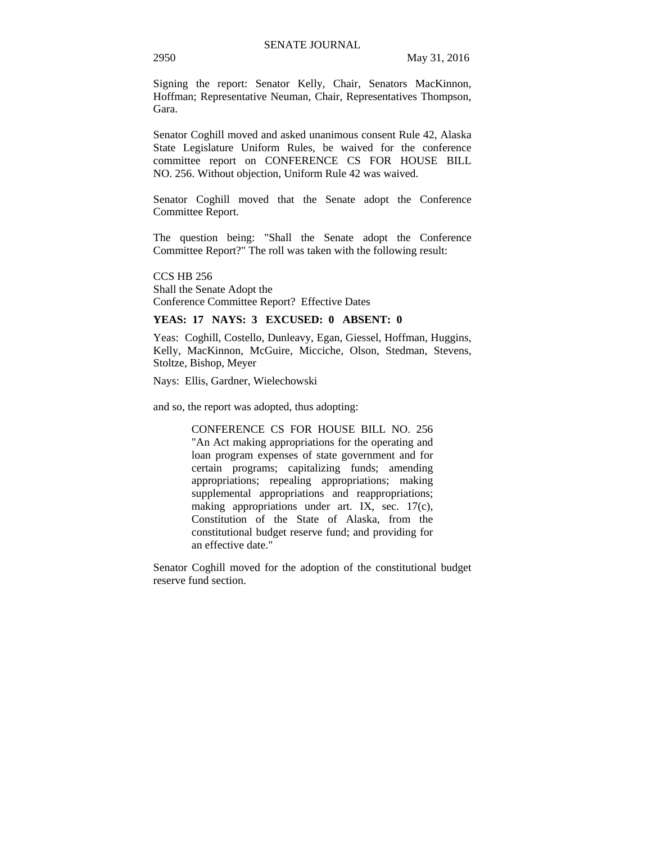Signing the report: Senator Kelly, Chair, Senators MacKinnon, Hoffman; Representative Neuman, Chair, Representatives Thompson, Gara.

Senator Coghill moved and asked unanimous consent Rule 42, Alaska State Legislature Uniform Rules, be waived for the conference committee report on CONFERENCE CS FOR HOUSE BILL NO. 256. Without objection, Uniform Rule 42 was waived.

Senator Coghill moved that the Senate adopt the Conference Committee Report.

The question being: "Shall the Senate adopt the Conference Committee Report?" The roll was taken with the following result:

CCS HB 256 Shall the Senate Adopt the Conference Committee Report? Effective Dates

## **YEAS: 17 NAYS: 3 EXCUSED: 0 ABSENT: 0**

Yeas: Coghill, Costello, Dunleavy, Egan, Giessel, Hoffman, Huggins, Kelly, MacKinnon, McGuire, Micciche, Olson, Stedman, Stevens, Stoltze, Bishop, Meyer

Nays: Ellis, Gardner, Wielechowski

and so, the report was adopted, thus adopting:

CONFERENCE CS FOR HOUSE BILL NO. 256 "An Act making appropriations for the operating and loan program expenses of state government and for certain programs; capitalizing funds; amending appropriations; repealing appropriations; making supplemental appropriations and reappropriations; making appropriations under art. IX, sec. 17(c), Constitution of the State of Alaska, from the constitutional budget reserve fund; and providing for an effective date."

Senator Coghill moved for the adoption of the constitutional budget reserve fund section.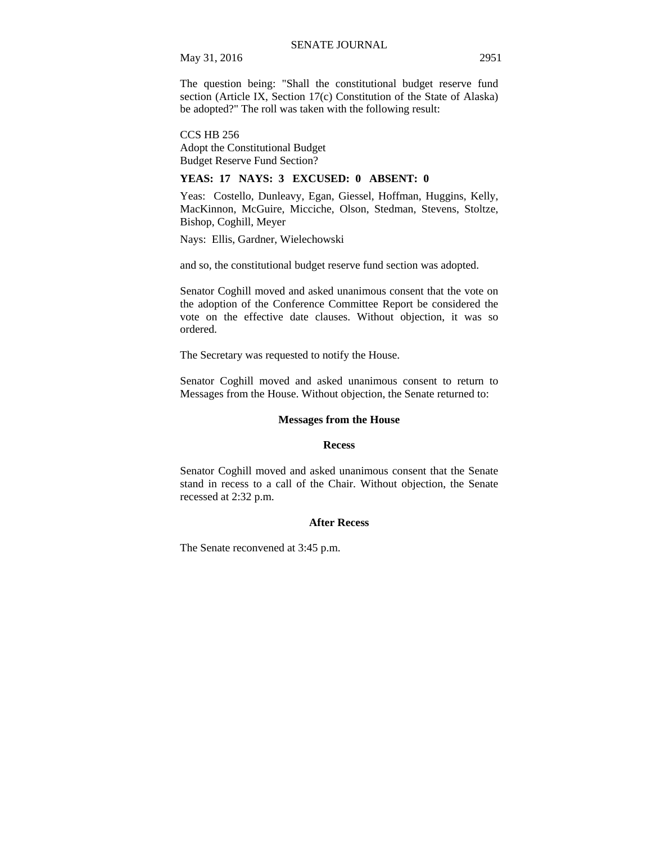May 31, 2016 2951

The question being: "Shall the constitutional budget reserve fund section (Article IX, Section 17(c) Constitution of the State of Alaska) be adopted?" The roll was taken with the following result:

CCS HB 256 Adopt the Constitutional Budget Budget Reserve Fund Section?

#### **YEAS: 17 NAYS: 3 EXCUSED: 0 ABSENT: 0**

Yeas: Costello, Dunleavy, Egan, Giessel, Hoffman, Huggins, Kelly, MacKinnon, McGuire, Micciche, Olson, Stedman, Stevens, Stoltze, Bishop, Coghill, Meyer

Nays: Ellis, Gardner, Wielechowski

and so, the constitutional budget reserve fund section was adopted.

Senator Coghill moved and asked unanimous consent that the vote on the adoption of the Conference Committee Report be considered the vote on the effective date clauses. Without objection, it was so ordered.

The Secretary was requested to notify the House.

Senator Coghill moved and asked unanimous consent to return to Messages from the House. Without objection, the Senate returned to:

#### **Messages from the House**

### **Recess**

Senator Coghill moved and asked unanimous consent that the Senate stand in recess to a call of the Chair. Without objection, the Senate recessed at 2:32 p.m.

#### **After Recess**

The Senate reconvened at 3:45 p.m.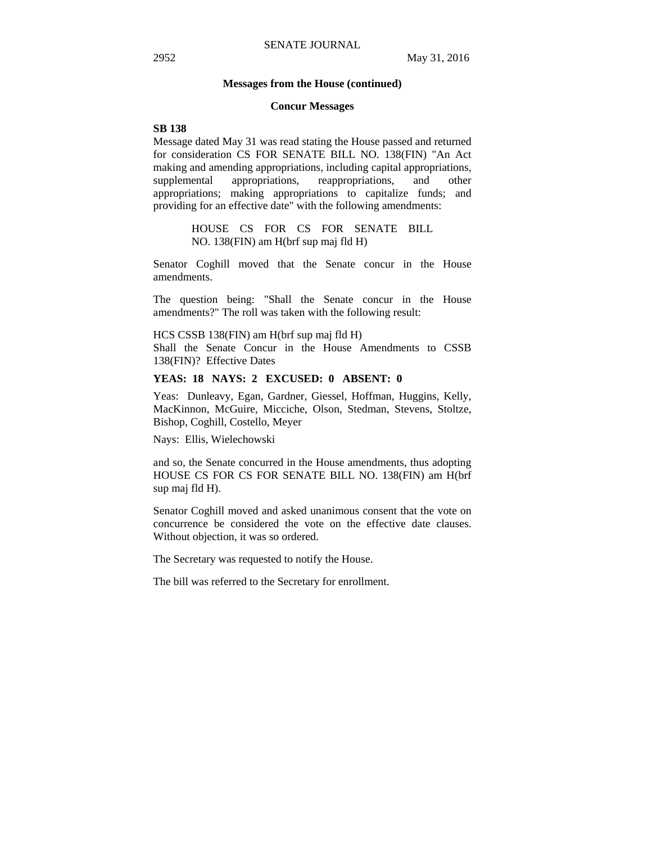#### **Messages from the House (continued)**

#### **Concur Messages**

### **SB 138**

Message dated May 31 was read stating the House passed and returned for consideration CS FOR SENATE BILL NO. 138(FIN) "An Act making and amending appropriations, including capital appropriations, supplemental appropriations, reappropriations, and other appropriations; making appropriations to capitalize funds; and providing for an effective date" with the following amendments:

> HOUSE CS FOR CS FOR SENATE BILL NO. 138(FIN) am H(brf sup maj fld H)

Senator Coghill moved that the Senate concur in the House amendments.

The question being: "Shall the Senate concur in the House amendments?" The roll was taken with the following result:

HCS CSSB 138(FIN) am H(brf sup maj fld H) Shall the Senate Concur in the House Amendments to CSSB 138(FIN)? Effective Dates

## **YEAS: 18 NAYS: 2 EXCUSED: 0 ABSENT: 0**

Yeas: Dunleavy, Egan, Gardner, Giessel, Hoffman, Huggins, Kelly, MacKinnon, McGuire, Micciche, Olson, Stedman, Stevens, Stoltze, Bishop, Coghill, Costello, Meyer

Nays: Ellis, Wielechowski

and so, the Senate concurred in the House amendments, thus adopting HOUSE CS FOR CS FOR SENATE BILL NO. 138(FIN) am H(brf sup maj fld H).

Senator Coghill moved and asked unanimous consent that the vote on concurrence be considered the vote on the effective date clauses. Without objection, it was so ordered.

The Secretary was requested to notify the House.

The bill was referred to the Secretary for enrollment.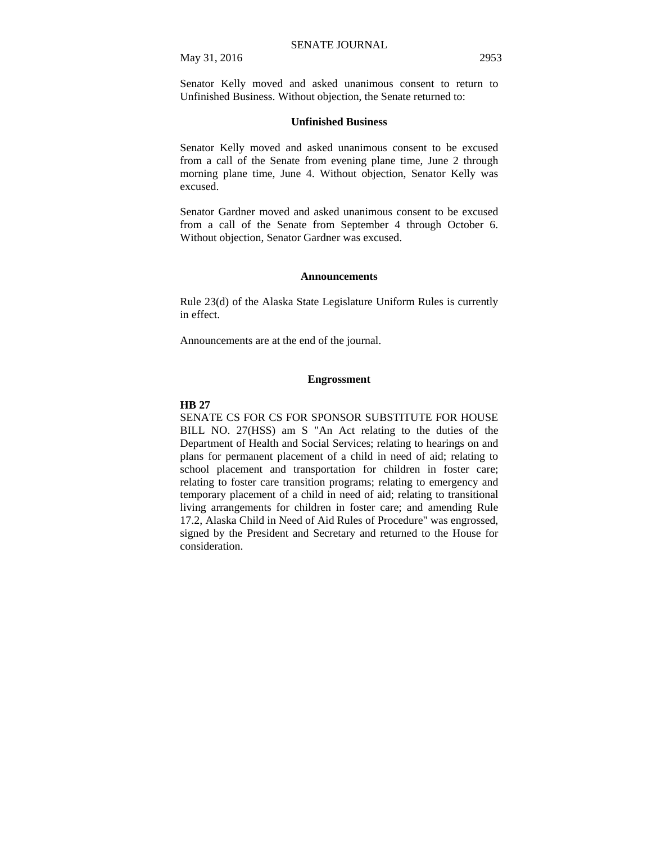May 31, 2016 2953

Senator Kelly moved and asked unanimous consent to return to Unfinished Business. Without objection, the Senate returned to:

## **Unfinished Business**

Senator Kelly moved and asked unanimous consent to be excused from a call of the Senate from evening plane time, June 2 through morning plane time, June 4. Without objection, Senator Kelly was excused.

Senator Gardner moved and asked unanimous consent to be excused from a call of the Senate from September 4 through October 6. Without objection, Senator Gardner was excused.

#### **Announcements**

Rule 23(d) of the Alaska State Legislature Uniform Rules is currently in effect.

Announcements are at the end of the journal.

#### **Engrossment**

#### **HB 27**

SENATE CS FOR CS FOR SPONSOR SUBSTITUTE FOR HOUSE BILL NO. 27(HSS) am S "An Act relating to the duties of the Department of Health and Social Services; relating to hearings on and plans for permanent placement of a child in need of aid; relating to school placement and transportation for children in foster care; relating to foster care transition programs; relating to emergency and temporary placement of a child in need of aid; relating to transitional living arrangements for children in foster care; and amending Rule 17.2, Alaska Child in Need of Aid Rules of Procedure" was engrossed, signed by the President and Secretary and returned to the House for consideration.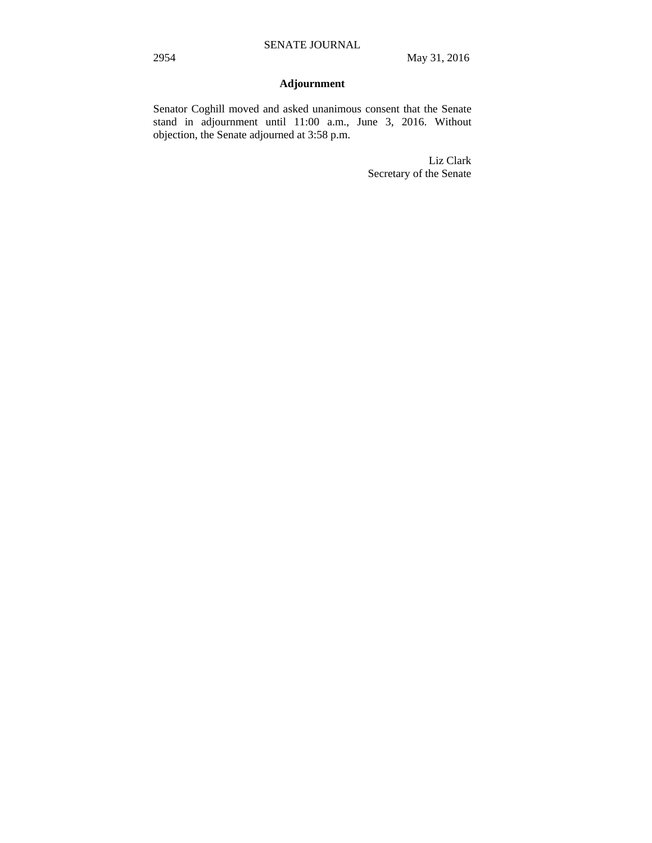# **Adjournment**

Senator Coghill moved and asked unanimous consent that the Senate stand in adjournment until 11:00 a.m., June 3, 2016. Without objection, the Senate adjourned at 3:58 p.m.

> Liz Clark Secretary of the Senate